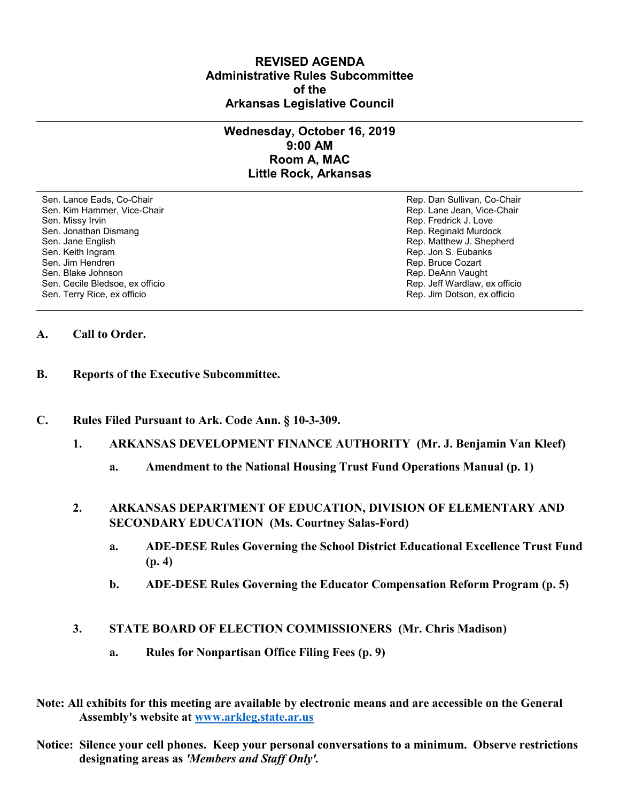### **REVISED AGENDA Administrative Rules Subcommittee of the Arkansas Legislative Council**

## **Wednesday, October 16, 2019 9:00 AM Room A, MAC Little Rock, Arkansas**

Sen. Lance Eads, Co-Chair Rep. Dan Sullivan, Co-Chair Sen. Kim Hammer, Vice-Chair **Rep. Lane Jean, Vice-Chair** Rep. Lane Jean, Vice-Chair Sen. Missy Irvin New York 1, 2008 and the sense of the sense of the Sense of Technical Sense of Technical Australian Sense of Technical Australian Sense of Technical Australian Sense of Technical Australian Sense of Techni Sen. Jonathan Dismang Rep. Reginald Murdock Sen. Jane English Rep. Matthew J. Shepherd Rep. Matthew J. Shepherd Sen. Keith Ingram Rep. Jon S. Eubanks (Sen. Keith Ingram Rep. Jon S. Eubanks (Sen. Jon S. Eubanks (Sen. Jon S. Eubanks (Sen. Jon S. Eubanks (Sen. Jon S. Eubanks (Sen. Jon S. Eubanks (Sen. Jon S. Eubanks (Sen. Jon S. Eubank Sen. Blake Johnson (Sen. 1999)<br>Sen. Cecile Bledsoe, ex officio (Sen. 1999)<br>Sen. Cecile Bledsoe, ex officio (Sen. 1999) Sen. Cecile Bledsoe, ex officio Sen. Terry Rice, ex officio Rep. Jim Dotson, ex officio

Rep. Bruce Cozart

#### **A. Call to Order.**

- **B. Reports of the Executive Subcommittee.**
- **C. Rules Filed Pursuant to Ark. Code Ann. § 10-3-309.**
	- **1. ARKANSAS DEVELOPMENT FINANCE AUTHORITY (Mr. J. Benjamin Van Kleef)**
		- **a. Amendment to the National Housing Trust Fund Operations Manual (p. 1)**
	- **2. ARKANSAS DEPARTMENT OF EDUCATION, DIVISION OF ELEMENTARY AND SECONDARY EDUCATION (Ms. Courtney Salas-Ford)**
		- **a. ADE-DESE Rules Governing the School District Educational Excellence Trust Fund (p. 4)**
		- **b. ADE-DESE Rules Governing the Educator Compensation Reform Program (p. 5)**
	- **3. STATE BOARD OF ELECTION COMMISSIONERS (Mr. Chris Madison)**
		- **a. Rules for Nonpartisan Office Filing Fees (p. 9)**
- **Note: All exhibits for this meeting are available by electronic means and are accessible on the General Assembly's website at [www.arkleg.state.ar.us](http://www.arkleg.state.ar.us)**
- **Notice: Silence your cell phones. Keep your personal conversations to a minimum. Observe restrictions designating areas as** *'Members and Staff Only'.*